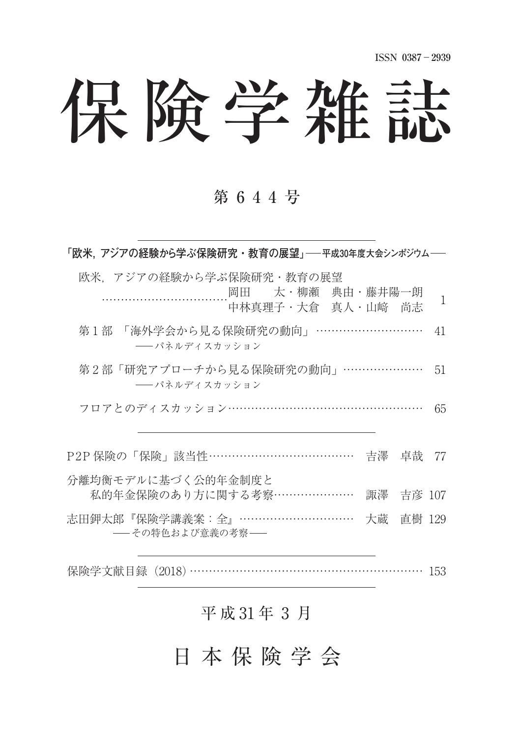**ISSN 0387**-**2939**

# 保険学雑誌

## 第 6 4 4 号

| 「欧米,アジアの経験から学ぶ保険研究・教育の展望」──平成30年度大会シンポジウム──                      |                |            |    |
|------------------------------------------------------------------|----------------|------------|----|
| 欧米.アジアの経験から学ぶ保険研究・教育の展望<br>岡田 太·柳瀬 典由·藤井陽一朗<br>中林真理子·大倉 真人·山崎 尚志 |                |            | 1  |
| 第1部 「海外学会から見る保険研究の動向」 …………………………<br>―― パネルディスカッション               |                |            | 41 |
| 第2部「研究アプローチから見る保険研究の動向」…………………<br>―― パネルディスカッション                 |                |            | 51 |
| フロアとのディスカッション…………………………………………                                    |                |            | 65 |
| P2P 保険の「保険」該当性………………………………                                       | - 吉澤 - 卓哉 - 77 |            |    |
| 分離均衡モデルに基づく公的年金制度と<br>私的年金保険のあり方に関する考察…………………                    |                | 諏澤  吉彦 107 |    |
| 志田鉀太郎『保険学講義案:全』…………………………<br>――その特色および意義の考察――                    |                | 大蔵 直樹 129  |    |
|                                                                  |                |            |    |

## 平成31年3月

保険学文献目録 (2018) …………………………………………………… 153

## 日 本 保 険 学 会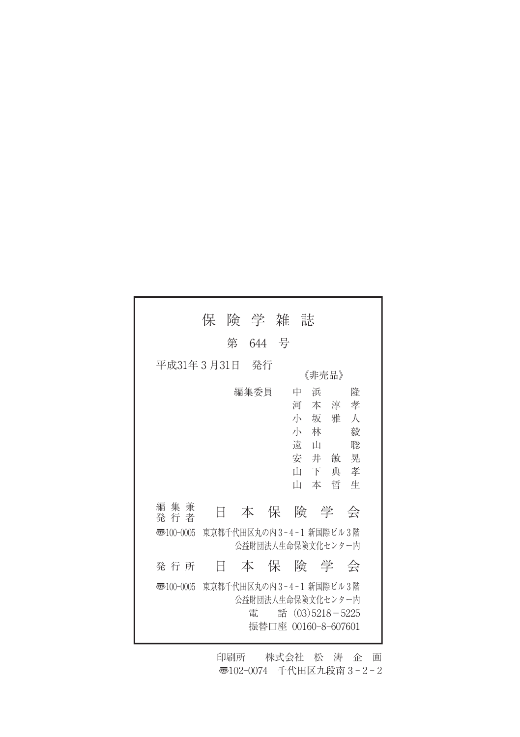|                        | 保                       |   | 険 学 雑                                         |       | 誌                                    |                         |                                                 |                                      |
|------------------------|-------------------------|---|-----------------------------------------------|-------|--------------------------------------|-------------------------|-------------------------------------------------|--------------------------------------|
|                        |                         | 第 |                                               | 644 号 |                                      |                         |                                                 |                                      |
| 平成31年3月31日             |                         |   | - 発行                                          |       |                                      | 《非売品》                   |                                                 |                                      |
|                        |                         |   | 編集委員                                          |       | 中<br>河<br>小 坂<br>小 林<br>遠<br>Ш<br>īН | 浜<br>ா<br>安井敏<br>下<br>本 | あんじょう 本の淳一 ようしん いっぱん いんこうかん かんこう<br>雅<br>典<br>哲 | 隆<br>孝<br>人<br>毅<br>聡<br>晃<br>孝<br>牛 |
| 集 兼<br>編<br>発 行 者      | Ħ                       |   | 本保険学                                          |       |                                      |                         |                                                 | 会                                    |
| $\overline{3}100-0005$ | 東京都千代田区丸の内3-4-1 新国際ビル3階 |   | 公益財団法人生命保険文化センター内                             |       |                                      |                         |                                                 |                                      |
| 発 行 所                  | Ħ                       |   | 本保険学会                                         |       |                                      |                         |                                                 |                                      |
| $\overline{3}100-0005$ | 東京都千代田区丸の内3-4-1 新国際ビル3階 |   | 公益財団法人生命保険文化センター内<br>雷<br>振替口座 00160-8-607601 |       |                                      |                         | 話 $(03)5218 - 5225$                             |                                      |

印刷所 株式会社 松 涛 企 画 〠102-0074 千代田区九段南 3 - 2 - 2